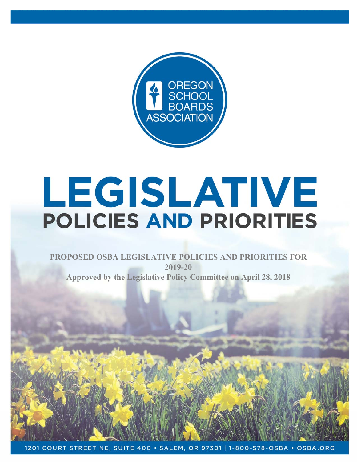

# LEGISLATIVE **POLICIES AND PRIORITIES**

## **PROPOSED OSBA LEGISLATIVE POLICIES AND PRIORITIES FOR 2019-20 Approved by the Legislative Policy Committee on April 28, 2018**

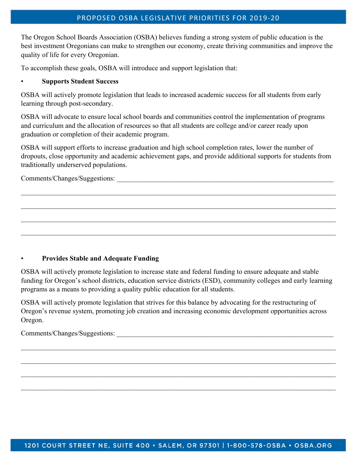The Oregon School Boards Association (OSBA) believes funding a strong system of public education is the best investment Oregonians can make to strengthen our economy, create thriving communities and improve the quality of life for every Oregonian.

To accomplish these goals, OSBA will introduce and support legislation that:

#### • **Supports Student Success**

OSBA will actively promote legislation that leads to increased academic success for all students from early learning through post-secondary.

OSBA will advocate to ensure local school boards and communities control the implementation of programs and curriculum and the allocation of resources so that all students are college and/or career ready upon graduation or completion of their academic program.

OSBA will support efforts to increase graduation and high school completion rates, lower the number of dropouts, close opportunity and academic achievement gaps, and provide additional supports for students from traditionally underserved populations.

Comments/Changes/Suggestions:

#### • **Provides Stable and Adequate Funding**

OSBA will actively promote legislation to increase state and federal funding to ensure adequate and stable funding for Oregon's school districts, education service districts (ESD), community colleges and early learning programs as a means to providing a quality public education for all students.

OSBA will actively promote legislation that strives for this balance by advocating for the restructuring of Oregon's revenue system, promoting job creation and increasing economic development opportunities across Oregon.

 $\_$  , and the contribution of the contribution of the contribution of the contribution of the contribution of  $\mathcal{L}_\text{max}$ 

 $\_$  , and the contribution of the contribution of the contribution of the contribution of the contribution of  $\mathcal{L}_\text{max}$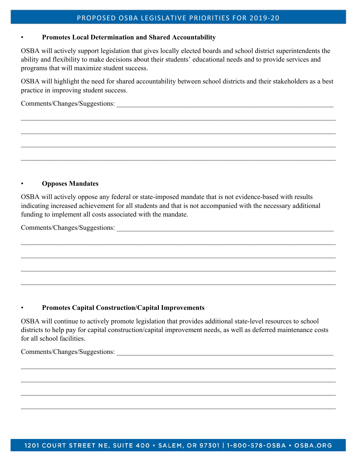#### PROPOSED OSBA LEGISLATIVE PRIORITIES FOR 2019‐20

#### • **Promotes Local Determination and Shared Accountability**

OSBA will actively support legislation that gives locally elected boards and school district superintendents the ability and flexibility to make decisions about their students' educational needs and to provide services and programs that will maximize student success.

OSBA will highlight the need for shared accountability between school districts and their stakeholders as a best practice in improving student success.

Comments/Changes/Suggestions:

#### • **Opposes Mandates**

OSBA will actively oppose any federal or state-imposed mandate that is not evidence-based with results indicating increased achievement for all students and that is not accompanied with the necessary additional funding to implement all costs associated with the mandate.

Comments/Changes/Suggestions:

#### • **Promotes Capital Construction/Capital Improvements**

OSBA will continue to actively promote legislation that provides additional state-level resources to school districts to help pay for capital construction/capital improvement needs, as well as deferred maintenance costs for all school facilities.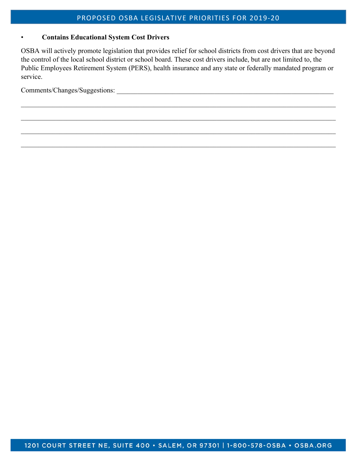#### • **Contains Educational System Cost Drivers**

OSBA will actively promote legislation that provides relief for school districts from cost drivers that are beyond the control of the local school district or school board. These cost drivers include, but are not limited to, the Public Employees Retirement System (PERS), health insurance and any state or federally mandated program or service.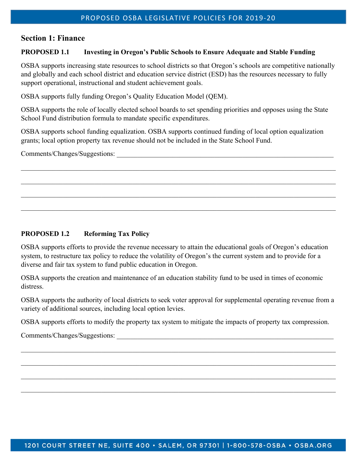## **Section 1: Finance**

#### **PROPOSED 1.1 Investing in Oregon's Public Schools to Ensure Adequate and Stable Funding**

OSBA supports increasing state resources to school districts so that Oregon's schools are competitive nationally and globally and each school district and education service district (ESD) has the resources necessary to fully support operational, instructional and student achievement goals.

OSBA supports fully funding Oregon's Quality Education Model (QEM).

OSBA supports the role of locally elected school boards to set spending priorities and opposes using the State School Fund distribution formula to mandate specific expenditures.

OSBA supports school funding equalization. OSBA supports continued funding of local option equalization grants; local option property tax revenue should not be included in the State School Fund.

Comments/Changes/Suggestions:

## **PROPOSED 1.2 Reforming Tax Policy**

OSBA supports efforts to provide the revenue necessary to attain the educational goals of Oregon's education system, to restructure tax policy to reduce the volatility of Oregon's the current system and to provide for a diverse and fair tax system to fund public education in Oregon.

OSBA supports the creation and maintenance of an education stability fund to be used in times of economic distress.

OSBA supports the authority of local districts to seek voter approval for supplemental operating revenue from a variety of additional sources, including local option levies.

OSBA supports efforts to modify the property tax system to mitigate the impacts of property tax compression.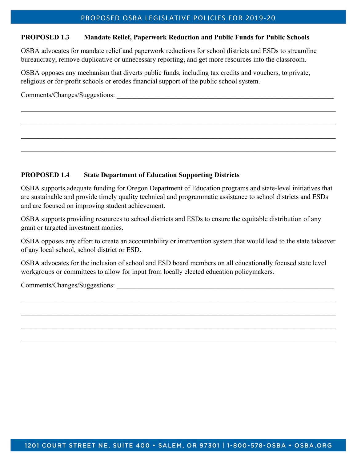#### **PROPOSED 1.3 Mandate Relief, Paperwork Reduction and Public Funds for Public Schools**

OSBA advocates for mandate relief and paperwork reductions for school districts and ESDs to streamline bureaucracy, remove duplicative or unnecessary reporting, and get more resources into the classroom.

OSBA opposes any mechanism that diverts public funds, including tax credits and vouchers, to private, religious or for-profit schools or erodes financial support of the public school system.

 $\_$  , and the set of the set of the set of the set of the set of the set of the set of the set of the set of the set of the set of the set of the set of the set of the set of the set of the set of the set of the set of th

Comments/Changes/Suggestions:

#### **PROPOSED 1.4 State Department of Education Supporting Districts**

OSBA supports adequate funding for Oregon Department of Education programs and state-level initiatives that are sustainable and provide timely quality technical and programmatic assistance to school districts and ESDs and are focused on improving student achievement.

OSBA supports providing resources to school districts and ESDs to ensure the equitable distribution of any grant or targeted investment monies.

OSBA opposes any effort to create an accountability or intervention system that would lead to the state takeover of any local school, school district or ESD.

OSBA advocates for the inclusion of school and ESD board members on all educationally focused state level workgroups or committees to allow for input from locally elected education policymakers.

 $\_$  , and the set of the set of the set of the set of the set of the set of the set of the set of the set of the set of the set of the set of the set of the set of the set of the set of the set of the set of the set of th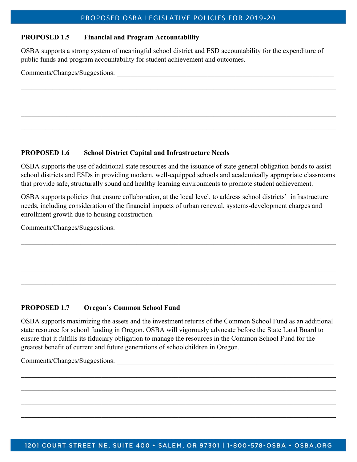#### **PROPOSED 1.5 Financial and Program Accountability**

OSBA supports a strong system of meaningful school district and ESD accountability for the expenditure of public funds and program accountability for student achievement and outcomes.

Comments/Changes/Suggestions:

#### **PROPOSED 1.6 School District Capital and Infrastructure Needs**

OSBA supports the use of additional state resources and the issuance of state general obligation bonds to assist school districts and ESDs in providing modern, well-equipped schools and academically appropriate classrooms that provide safe, structurally sound and healthy learning environments to promote student achievement.

OSBA supports policies that ensure collaboration, at the local level, to address school districts' infrastructure needs, including consideration of the financial impacts of urban renewal, systems-development charges and enrollment growth due to housing construction.

Comments/Changes/Suggestions:

#### **PROPOSED 1.7 Oregon's Common School Fund**

OSBA supports maximizing the assets and the investment returns of the Common School Fund as an additional state resource for school funding in Oregon. OSBA will vigorously advocate before the State Land Board to ensure that it fulfills its fiduciary obligation to manage the resources in the Common School Fund for the greatest benefit of current and future generations of schoolchildren in Oregon.

 $\_$  , and the contribution of the contribution of the contribution of the contribution of the contribution of  $\mathcal{L}_\text{max}$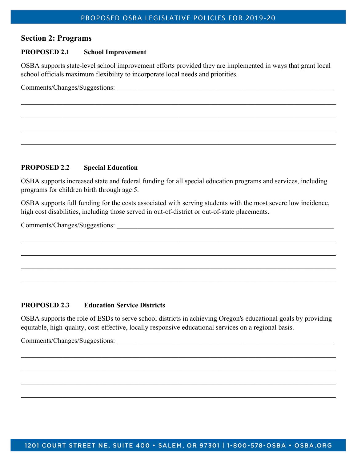### **Section 2: Programs**

#### **PROPOSED 2.1 School Improvement**

OSBA supports state-level school improvement efforts provided they are implemented in ways that grant local school officials maximum flexibility to incorporate local needs and priorities.

 $\_$  , and the set of the set of the set of the set of the set of the set of the set of the set of the set of the set of the set of the set of the set of the set of the set of the set of the set of the set of the set of th

Comments/Changes/Suggestions:

#### **PROPOSED 2.2 Special Education**

OSBA supports increased state and federal funding for all special education programs and services, including programs for children birth through age 5.

OSBA supports full funding for the costs associated with serving students with the most severe low incidence, high cost disabilities, including those served in out-of-district or out-of-state placements.

Comments/Changes/Suggestions:

#### **PROPOSED 2.3 Education Service Districts**

OSBA supports the role of ESDs to serve school districts in achieving Oregon's educational goals by providing equitable, high-quality, cost-effective, locally responsive educational services on a regional basis.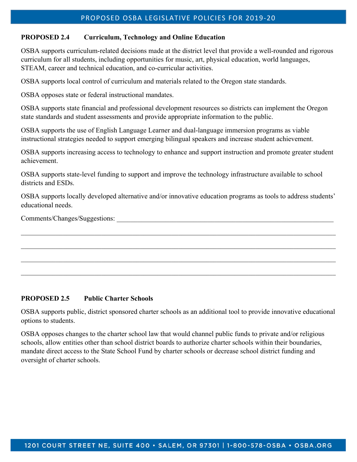#### **PROPOSED 2.4 Curriculum, Technology and Online Education**

OSBA supports curriculum-related decisions made at the district level that provide a well-rounded and rigorous curriculum for all students, including opportunities for music, art, physical education, world languages, STEAM, career and technical education, and co-curricular activities.

OSBA supports local control of curriculum and materials related to the Oregon state standards.

OSBA opposes state or federal instructional mandates.

OSBA supports state financial and professional development resources so districts can implement the Oregon state standards and student assessments and provide appropriate information to the public.

OSBA supports the use of English Language Learner and dual-language immersion programs as viable instructional strategies needed to support emerging bilingual speakers and increase student achievement.

OSBA supports increasing access to technology to enhance and support instruction and promote greater student achievement.

OSBA supports state-level funding to support and improve the technology infrastructure available to school districts and ESDs.

OSBA supports locally developed alternative and/or innovative education programs as tools to address students' educational needs.

Comments/Changes/Suggestions:

#### **PROPOSED 2.5 Public Charter Schools**

OSBA supports public, district sponsored charter schools as an additional tool to provide innovative educational options to students.

 $\_$  , and the set of the set of the set of the set of the set of the set of the set of the set of the set of the set of the set of the set of the set of the set of the set of the set of the set of the set of the set of th

OSBA opposes changes to the charter school law that would channel public funds to private and/or religious schools, allow entities other than school district boards to authorize charter schools within their boundaries, mandate direct access to the State School Fund by charter schools or decrease school district funding and oversight of charter schools.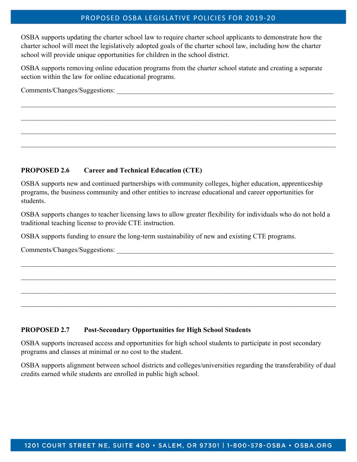#### PROPOSED OSBA LEGISLATIVE POLICIES FOR 2019‐20

OSBA supports updating the charter school law to require charter school applicants to demonstrate how the charter school will meet the legislatively adopted goals of the charter school law, including how the charter school will provide unique opportunities for children in the school district.

OSBA supports removing online education programs from the charter school statute and creating a separate section within the law for online educational programs.

Comments/Changes/Suggestions:

#### **PROPOSED 2.6 Career and Technical Education (CTE)**

OSBA supports new and continued partnerships with community colleges, higher education, apprenticeship programs, the business community and other entities to increase educational and career opportunities for students.

OSBA supports changes to teacher licensing laws to allow greater flexibility for individuals who do not hold a traditional teaching license to provide CTE instruction.

OSBA supports funding to ensure the long-term sustainability of new and existing CTE programs.

Comments/Changes/Suggestions:

#### **PROPOSED 2.7 Post-Secondary Opportunities for High School Students**

OSBA supports increased access and opportunities for high school students to participate in post secondary programs and classes at minimal or no cost to the student.

OSBA supports alignment between school districts and colleges/universities regarding the transferability of dual credits earned while students are enrolled in public high school.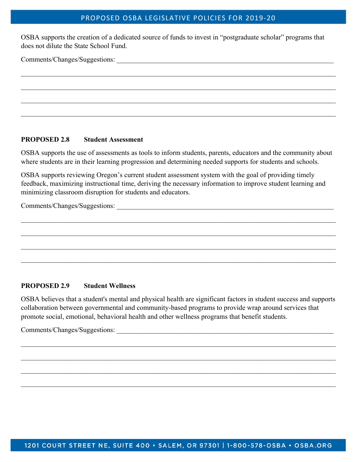#### PROPOSED OSBA LEGISLATIVE POLICIES FOR 2019‐20

OSBA supports the creation of a dedicated source of funds to invest in "postgraduate scholar" programs that does not dilute the State School Fund.

Comments/Changes/Suggestions:

#### **PROPOSED 2.8 Student Assessment**

OSBA supports the use of assessments as tools to inform students, parents, educators and the community about where students are in their learning progression and determining needed supports for students and schools.

OSBA supports reviewing Oregon's current student assessment system with the goal of providing timely feedback, maximizing instructional time, deriving the necessary information to improve student learning and minimizing classroom disruption for students and educators.

Comments/Changes/Suggestions:

#### **PROPOSED 2.9 Student Wellness**

OSBA believes that a student's mental and physical health are significant factors in student success and supports collaboration between governmental and community-based programs to provide wrap around services that promote social, emotional, behavioral health and other wellness programs that benefit students.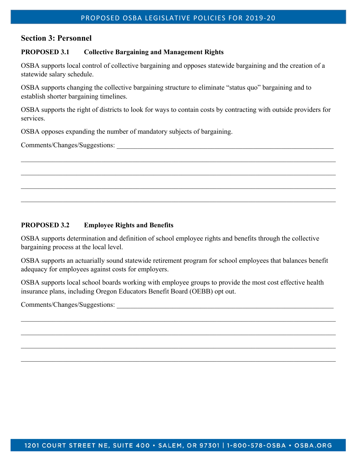## **Section 3: Personnel**

#### **PROPOSED 3.1 Collective Bargaining and Management Rights**

OSBA supports local control of collective bargaining and opposes statewide bargaining and the creation of a statewide salary schedule.

OSBA supports changing the collective bargaining structure to eliminate "status quo" bargaining and to establish shorter bargaining timelines.

OSBA supports the right of districts to look for ways to contain costs by contracting with outside providers for services.

OSBA opposes expanding the number of mandatory subjects of bargaining.

Comments/Changes/Suggestions:

#### **PROPOSED 3.2 Employee Rights and Benefits**

OSBA supports determination and definition of school employee rights and benefits through the collective bargaining process at the local level.

OSBA supports an actuarially sound statewide retirement program for school employees that balances benefit adequacy for employees against costs for employers.

OSBA supports local school boards working with employee groups to provide the most cost effective health insurance plans, including Oregon Educators Benefit Board (OEBB) opt out.

 $\_$  , and the set of the set of the set of the set of the set of the set of the set of the set of the set of the set of the set of the set of the set of the set of the set of the set of the set of the set of the set of th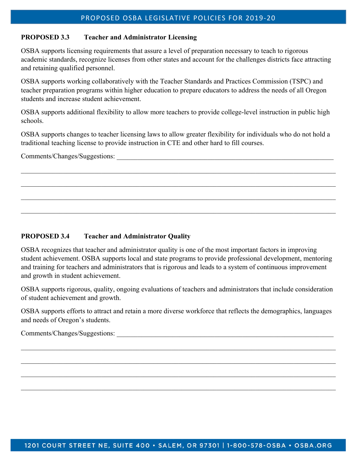#### **PROPOSED 3.3 Teacher and Administrator Licensing**

OSBA supports licensing requirements that assure a level of preparation necessary to teach to rigorous academic standards, recognize licenses from other states and account for the challenges districts face attracting and retaining qualified personnel.

OSBA supports working collaboratively with the Teacher Standards and Practices Commission (TSPC) and teacher preparation programs within higher education to prepare educators to address the needs of all Oregon students and increase student achievement.

OSBA supports additional flexibility to allow more teachers to provide college-level instruction in public high schools.

OSBA supports changes to teacher licensing laws to allow greater flexibility for individuals who do not hold a traditional teaching license to provide instruction in CTE and other hard to fill courses.

 $\_$  , and the set of the set of the set of the set of the set of the set of the set of the set of the set of the set of the set of the set of the set of the set of the set of the set of the set of the set of the set of th

 $\_$  , and the set of the set of the set of the set of the set of the set of the set of the set of the set of the set of the set of the set of the set of the set of the set of the set of the set of the set of the set of th

Comments/Changes/Suggestions:

#### **PROPOSED 3.4 Teacher and Administrator Quality**

OSBA recognizes that teacher and administrator quality is one of the most important factors in improving student achievement. OSBA supports local and state programs to provide professional development, mentoring and training for teachers and administrators that is rigorous and leads to a system of continuous improvement and growth in student achievement.

OSBA supports rigorous, quality, ongoing evaluations of teachers and administrators that include consideration of student achievement and growth.

OSBA supports efforts to attract and retain a more diverse workforce that reflects the demographics, languages and needs of Oregon's students.

 $\_$  , and the set of the set of the set of the set of the set of the set of the set of the set of the set of the set of the set of the set of the set of the set of the set of the set of the set of the set of the set of th

 $\_$  , and the set of the set of the set of the set of the set of the set of the set of the set of the set of the set of the set of the set of the set of the set of the set of the set of the set of the set of the set of th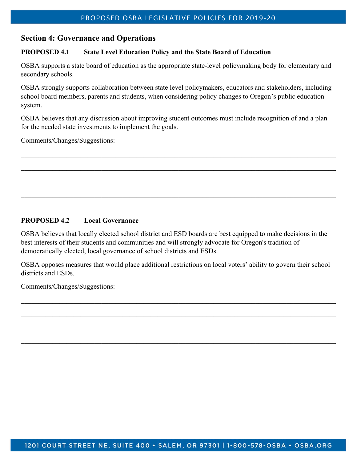## **Section 4: Governance and Operations**

#### **PROPOSED 4.1 State Level Education Policy and the State Board of Education**

OSBA supports a state board of education as the appropriate state-level policymaking body for elementary and secondary schools.

OSBA strongly supports collaboration between state level policymakers, educators and stakeholders, including school board members, parents and students, when considering policy changes to Oregon's public education system.

OSBA believes that any discussion about improving student outcomes must include recognition of and a plan for the needed state investments to implement the goals.

Comments/Changes/Suggestions:

## **PROPOSED 4.2 Local Governance**

OSBA believes that locally elected school district and ESD boards are best equipped to make decisions in the best interests of their students and communities and will strongly advocate for Oregon's tradition of democratically elected, local governance of school districts and ESDs.

OSBA opposes measures that would place additional restrictions on local voters' ability to govern their school districts and ESDs.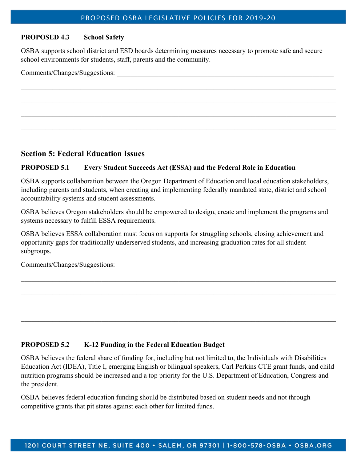#### **PROPOSED 4.3 School Safety**

OSBA supports school district and ESD boards determining measures necessary to promote safe and secure school environments for students, staff, parents and the community.

| Comments/Changes/Suggestions: |  |
|-------------------------------|--|
|                               |  |

## **Section 5: Federal Education Issues**

#### **PROPOSED 5.1 Every Student Succeeds Act (ESSA) and the Federal Role in Education**

OSBA supports collaboration between the Oregon Department of Education and local education stakeholders, including parents and students, when creating and implementing federally mandated state, district and school accountability systems and student assessments.

OSBA believes Oregon stakeholders should be empowered to design, create and implement the programs and systems necessary to fulfill ESSA requirements.

OSBA believes ESSA collaboration must focus on supports for struggling schools, closing achievement and opportunity gaps for traditionally underserved students, and increasing graduation rates for all student subgroups.

 $\_$  , and the set of the set of the set of the set of the set of the set of the set of the set of the set of the set of the set of the set of the set of the set of the set of the set of the set of the set of the set of th

 $\_$  , and the set of the set of the set of the set of the set of the set of the set of the set of the set of the set of the set of the set of the set of the set of the set of the set of the set of the set of the set of th

Comments/Changes/Suggestions:

#### **PROPOSED 5.2 K-12 Funding in the Federal Education Budget**

OSBA believes the federal share of funding for, including but not limited to, the Individuals with Disabilities Education Act (IDEA), Title I, emerging English or bilingual speakers, Carl Perkins CTE grant funds, and child nutrition programs should be increased and a top priority for the U.S. Department of Education, Congress and the president.

OSBA believes federal education funding should be distributed based on student needs and not through competitive grants that pit states against each other for limited funds.